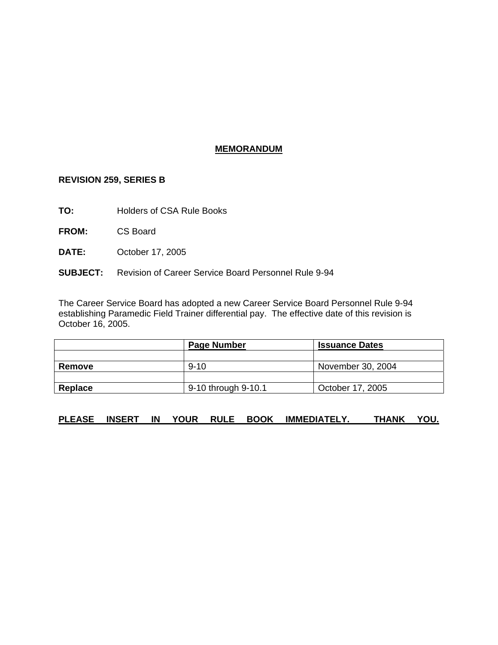## **MEMORANDUM**

## **REVISION 259, SERIES B**

- **TO:** Holders of CSA Rule Books
- **FROM:** CS Board
- **DATE:** October 17, 2005
- **SUBJECT:** Revision of Career Service Board Personnel Rule 9-94

The Career Service Board has adopted a new Career Service Board Personnel Rule 9-94 establishing Paramedic Field Trainer differential pay. The effective date of this revision is October 16, 2005.

|         | <b>Page Number</b>  | <b>Issuance Dates</b> |
|---------|---------------------|-----------------------|
|         |                     |                       |
| Remove  | $9 - 10$            | November 30, 2004     |
|         |                     |                       |
| Replace | 9-10 through 9-10.1 | October 17, 2005      |

## **PLEASE INSERT IN YOUR RULE BOOK IMMEDIATELY. THANK YOU.**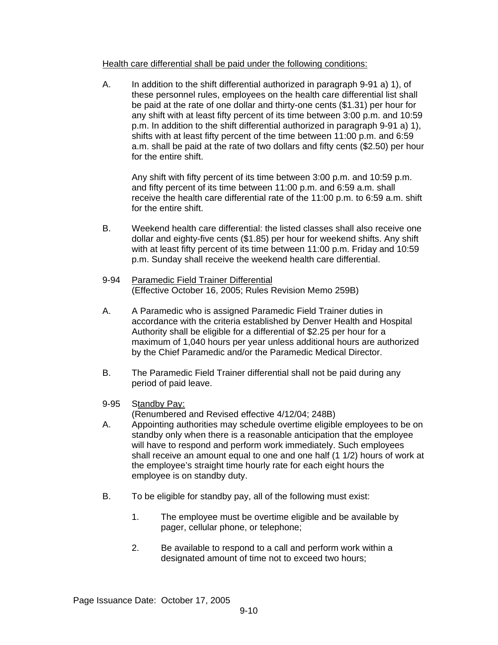## Health care differential shall be paid under the following conditions:

A. In addition to the shift differential authorized in paragraph 9-91 a) 1), of these personnel rules, employees on the health care differential list shall be paid at the rate of one dollar and thirty-one cents (\$1.31) per hour for any shift with at least fifty percent of its time between 3:00 p.m. and 10:59 p.m. In addition to the shift differential authorized in paragraph 9-91 a) 1), shifts with at least fifty percent of the time between 11:00 p.m. and 6:59 a.m. shall be paid at the rate of two dollars and fifty cents (\$2.50) per hour for the entire shift.

Any shift with fifty percent of its time between 3:00 p.m. and 10:59 p.m. and fifty percent of its time between 11:00 p.m. and 6:59 a.m. shall receive the health care differential rate of the 11:00 p.m. to 6:59 a.m. shift for the entire shift.

- B. Weekend health care differential: the listed classes shall also receive one dollar and eighty-five cents (\$1.85) per hour for weekend shifts. Any shift with at least fifty percent of its time between 11:00 p.m. Friday and 10:59 p.m. Sunday shall receive the weekend health care differential.
- 9-94 Paramedic Field Trainer Differential (Effective October 16, 2005; Rules Revision Memo 259B)
- A. A Paramedic who is assigned Paramedic Field Trainer duties in accordance with the criteria established by Denver Health and Hospital Authority shall be eligible for a differential of \$2.25 per hour for a maximum of 1,040 hours per year unless additional hours are authorized by the Chief Paramedic and/or the Paramedic Medical Director.
- B. The Paramedic Field Trainer differential shall not be paid during any period of paid leave.
- 9-95 Standby Pay:

(Renumbered and Revised effective 4/12/04; 248B)

- A. Appointing authorities may schedule overtime eligible employees to be on standby only when there is a reasonable anticipation that the employee will have to respond and perform work immediately. Such employees shall receive an amount equal to one and one half (1 1/2) hours of work at the employee's straight time hourly rate for each eight hours the employee is on standby duty.
- B. To be eligible for standby pay, all of the following must exist:
	- 1. The employee must be overtime eligible and be available by pager, cellular phone, or telephone;
	- 2. Be available to respond to a call and perform work within a designated amount of time not to exceed two hours;